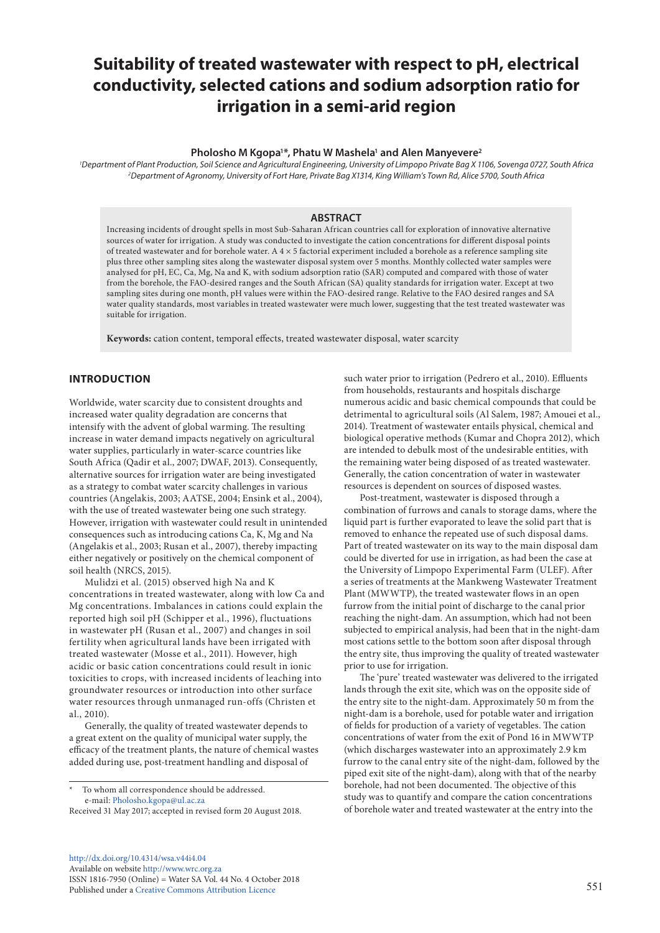# **Suitability of treated wastewater with respect to pH, electrical conductivity, selected cations and sodium adsorption ratio for irrigation in a semi-arid region**

#### **Pholosho M Kgopa1 \*, Phatu W Mashela1 and Alen Manyevere2**

*1 Department of Plant Production, Soil Science and Agricultural Engineering, University of Limpopo Private Bag X 1106, Sovenga 0727, South Africa 2 Department of Agronomy, University of Fort Hare, Private Bag X1314, King William's Town Rd, Alice 5700, South Africa*

#### **ABSTRACT**

Increasing incidents of drought spells in most Sub-Saharan African countries call for exploration of innovative alternative sources of water for irrigation. A study was conducted to investigate the cation concentrations for different disposal points of treated wastewater and for borehole water. A  $4 \times 5$  factorial experiment included a borehole as a reference sampling site plus three other sampling sites along the wastewater disposal system over 5 months. Monthly collected water samples were analysed for pH, EC, Ca, Mg, Na and K, with sodium adsorption ratio (SAR) computed and compared with those of water from the borehole, the FAO-desired ranges and the South African (SA) quality standards for irrigation water. Except at two sampling sites during one month, pH values were within the FAO-desired range. Relative to the FAO desired ranges and SA water quality standards, most variables in treated wastewater were much lower, suggesting that the test treated wastewater was suitable for irrigation.

**Keywords:** cation content, temporal effects, treated wastewater disposal, water scarcity

#### **INTRODUCTION**

Worldwide, water scarcity due to consistent droughts and increased water quality degradation are concerns that intensify with the advent of global warming. The resulting increase in water demand impacts negatively on agricultural water supplies, particularly in water-scarce countries like South Africa (Qadir et al., 2007; DWAF, 2013). Consequently, alternative sources for irrigation water are being investigated as a strategy to combat water scarcity challenges in various countries (Angelakis, 2003; AATSE, 2004; Ensink et al., 2004), with the use of treated wastewater being one such strategy. However, irrigation with wastewater could result in unintended consequences such as introducing cations Ca, K, Mg and Na (Angelakis et al., 2003; Rusan et al., 2007), thereby impacting either negatively or positively on the chemical component of soil health (NRCS, 2015).

Mulidzi et al. (2015) observed high Na and K concentrations in treated wastewater, along with low Ca and Mg concentrations. Imbalances in cations could explain the reported high soil pH (Schipper et al., 1996), fluctuations in wastewater pH (Rusan et al., 2007) and changes in soil fertility when agricultural lands have been irrigated with treated wastewater (Mosse et al., 2011). However, high acidic or basic cation concentrations could result in ionic toxicities to crops, with increased incidents of leaching into groundwater resources or introduction into other surface water resources through unmanaged run-offs (Christen et al., 2010).

Generally, the quality of treated wastewater depends to a great extent on the quality of municipal water supply, the efficacy of the treatment plants, the nature of chemical wastes added during use, post-treatment handling and disposal of

[http://dx.doi.org/10.4314/wsa.v44i4.](http://dx.doi.org/10.4314/wsa.v44i4.04)04 Available on website<http://www.wrc.org.za> ISSN 1816-7950 (Online) = Water SA Vol. 44 No. 4 October 2018 Published under a [Creative Commons Attribution Licence](https://creativecommons.org/licenses/by/4.0/) 551

such water prior to irrigation (Pedrero et al., 2010). Effluents from households, restaurants and hospitals discharge numerous acidic and basic chemical compounds that could be detrimental to agricultural soils (Al Salem, 1987; Amouei et al., 2014). Treatment of wastewater entails physical, chemical and biological operative methods (Kumar and Chopra 2012), which are intended to debulk most of the undesirable entities, with the remaining water being disposed of as treated wastewater. Generally, the cation concentration of water in wastewater resources is dependent on sources of disposed wastes.

Post-treatment, wastewater is disposed through a combination of furrows and canals to storage dams, where the liquid part is further evaporated to leave the solid part that is removed to enhance the repeated use of such disposal dams. Part of treated wastewater on its way to the main disposal dam could be diverted for use in irrigation, as had been the case at the University of Limpopo Experimental Farm (ULEF). After a series of treatments at the Mankweng Wastewater Treatment Plant (MWWTP), the treated wastewater flows in an open furrow from the initial point of discharge to the canal prior reaching the night-dam. An assumption, which had not been subjected to empirical analysis, had been that in the night-dam most cations settle to the bottom soon after disposal through the entry site, thus improving the quality of treated wastewater prior to use for irrigation.

The 'pure' treated wastewater was delivered to the irrigated lands through the exit site, which was on the opposite side of the entry site to the night-dam. Approximately 50 m from the night-dam is a borehole, used for potable water and irrigation of fields for production of a variety of vegetables. The cation concentrations of water from the exit of Pond 16 in MWWTP (which discharges wastewater into an approximately 2.9 km furrow to the canal entry site of the night-dam, followed by the piped exit site of the night-dam), along with that of the nearby borehole, had not been documented. The objective of this study was to quantify and compare the cation concentrations of borehole water and treated wastewater at the entry into the

To whom all correspondence should be addressed. e-mail: [Pholosho.kgopa@ul.ac.za](mailto:Pholosho.kgopa@ul.ac.za)

Received 31 May 2017; accepted in revised form 20 August 2018.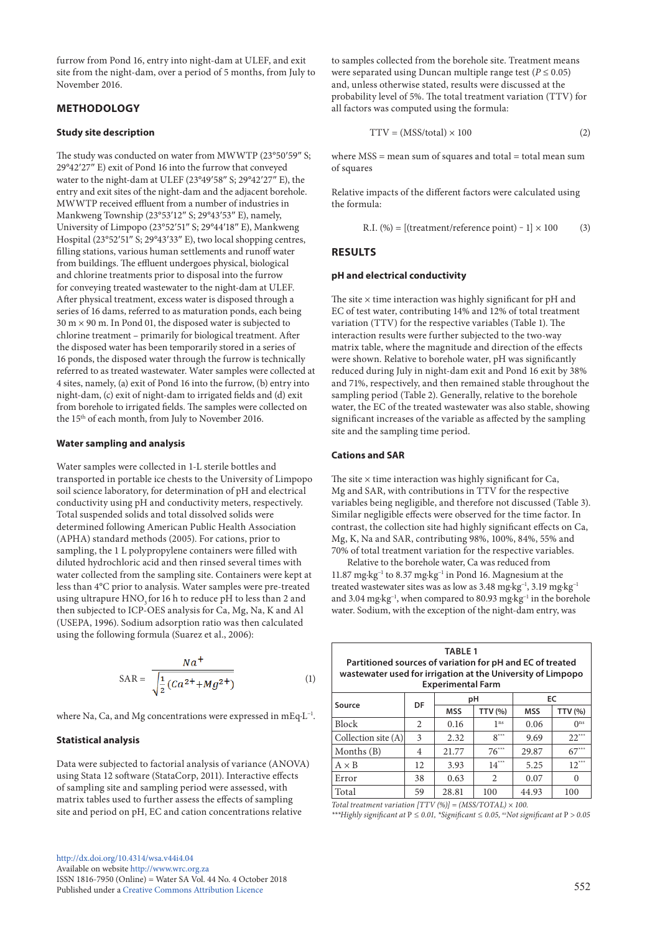furrow from Pond 16, entry into night-dam at ULEF, and exit site from the night-dam, over a period of 5 months, from July to November 2016.

# **METHODOLOGY**

#### **Study site description**

The study was conducted on water from MWWTP (23°50′59″ S; 29°42′27″ E) exit of Pond 16 into the furrow that conveyed water to the night-dam at ULEF (23°49′58″ S; 29°42′27″ E), the entry and exit sites of the night-dam and the adjacent borehole. MWWTP received effluent from a number of industries in Mankweng Township (23°53′12″ S; 29°43′53″ E), namely, University of Limpopo (23°52′51″ S; 29°44′18″ E), Mankweng Hospital (23°52′51″ S; 29°43′33″ E), two local shopping centres, filling stations, various human settlements and runoff water from buildings. The effluent undergoes physical, biological and chlorine treatments prior to disposal into the furrow for conveying treated wastewater to the night-dam at ULEF. After physical treatment, excess water is disposed through a series of 16 dams, referred to as maturation ponds, each being  $30 \text{ m} \times 90 \text{ m}$ . In Pond 01, the disposed water is subjected to chlorine treatment – primarily for biological treatment. After the disposed water has been temporarily stored in a series of 16 ponds, the disposed water through the furrow is technically referred to as treated wastewater. Water samples were collected at 4 sites, namely, (a) exit of Pond 16 into the furrow, (b) entry into night-dam, (c) exit of night-dam to irrigated fields and (d) exit from borehole to irrigated fields. The samples were collected on the 15th of each month, from July to November 2016.

#### **Water sampling and analysis**

Water samples were collected in 1-L sterile bottles and transported in portable ice chests to the University of Limpopo soil science laboratory, for determination of pH and electrical conductivity using pH and conductivity meters, respectively. Total suspended solids and total dissolved solids were determined following American Public Health Association (APHA) standard methods (2005). For cations, prior to sampling, the 1 L polypropylene containers were filled with diluted hydrochloric acid and then rinsed several times with water collected from the sampling site. Containers were kept at less than 4°C prior to analysis. Water samples were pre-treated using ultrapure HNO<sub>3</sub> for 16 h to reduce pH to less than 2 and then subjected to ICP-OES analysis for Ca, Mg, Na, K and Al (USEPA, 1996). Sodium adsorption ratio was then calculated using the following formula (Suarez et al., 2006):

$$
SAR = \frac{Na^{+}}{\sqrt{\frac{1}{2}(Ca^{2+} + Mg^{2+})}}
$$
 (1)

where Na, Ca, and Mg concentrations were expressed in mEq·L−1.

#### **Statistical analysis**

Data were subjected to factorial analysis of variance (ANOVA) using Stata 12 software (StataCorp, 2011). Interactive effects of sampling site and sampling period were assessed, with matrix tables used to further assess the effects of sampling site and period on pH, EC and cation concentrations relative

to samples collected from the borehole site. Treatment means were separated using Duncan multiple range test ( $P \le 0.05$ ) and, unless otherwise stated, results were discussed at the probability level of 5%. The total treatment variation (TTV) for all factors was computed using the formula:

$$
TTV = (MSS/total) \times 100
$$
 (2)

where  $MSS =$  mean sum of squares and total = total mean sum of squares

Relative impacts of the different factors were calculated using the formula:

R.I. (%) = [(treatment/reference point) - 1] 
$$
\times
$$
 100 (3)

## **RESULTS**

#### **pH and electrical conductivity**

The site  $\times$  time interaction was highly significant for pH and EC of test water, contributing 14% and 12% of total treatment variation (TTV) for the respective variables (Table 1). The interaction results were further subjected to the two-way matrix table, where the magnitude and direction of the effects were shown. Relative to borehole water, pH was significantly reduced during July in night-dam exit and Pond 16 exit by 38% and 71%, respectively, and then remained stable throughout the sampling period (Table 2). Generally, relative to the borehole water, the EC of the treated wastewater was also stable, showing significant increases of the variable as affected by the sampling site and the sampling time period.

# **Cations and SAR**

The site  $\times$  time interaction was highly significant for Ca, Mg and SAR, with contributions in TTV for the respective variables being negligible, and therefore not discussed (Table 3). Similar negligible effects were observed for the time factor. In contrast, the collection site had highly significant effects on Ca, Mg, K, Na and SAR, contributing 98%, 100%, 84%, 55% and 70% of total treatment variation for the respective variables.

Relative to the borehole water, Ca was reduced from 11.87 mg·kg−1 to 8.37 mg·kg−1 in Pond 16. Magnesium at the treated wastewater sites was as low as 3.48 mg·kg<sup>-1</sup>, 3.19 mg·kg<sup>-1</sup> and 3.04 mg·kg<sup>-1</sup>, when compared to 80.93 mg·kg<sup>-1</sup> in the borehole water. Sodium, with the exception of the night-dam entry, was

| <b>TABLE 1</b><br>Partitioned sources of variation for pH and EC of treated<br>wastewater used for irrigation at the University of Limpopo<br><b>Experimental Farm</b> |                |            |                 |            |                 |  |  |  |
|------------------------------------------------------------------------------------------------------------------------------------------------------------------------|----------------|------------|-----------------|------------|-----------------|--|--|--|
|                                                                                                                                                                        |                |            | pH              | EC         |                 |  |  |  |
| Source                                                                                                                                                                 | DF             | <b>MSS</b> | <b>TTV (%)</b>  | <b>MSS</b> | <b>TTV (%)</b>  |  |  |  |
| <b>Block</b>                                                                                                                                                           | $\mathfrak{D}$ | 0.16       | 1 <sub>ns</sub> | 0.06       | 0 <sup>ns</sup> |  |  |  |
| Collection site (A)                                                                                                                                                    | 3              | 2.32       | $8***$          | 9.69       | $22***$         |  |  |  |
| Months (B)                                                                                                                                                             | 4              | 21.77      | $76***$         | 29.87      | $67***$         |  |  |  |
| $A \times B$                                                                                                                                                           | 12             | 3.93       | $14***$         | 5.25       | $12***$         |  |  |  |
| Error                                                                                                                                                                  | 38             | 0.63       | 2               | 0.07       | $\Omega$        |  |  |  |
| Total                                                                                                                                                                  | 59             | 28.81      | 100             | 44.93      | 100             |  |  |  |

*Total treatment variation [TTV (%)] = (MSS/TOTAL) × 100.*

*\*\*\*Highly significant at* P *≤ 0.01, \*Significant ≤ 0.05, nsNot significant at* P *> 0.05*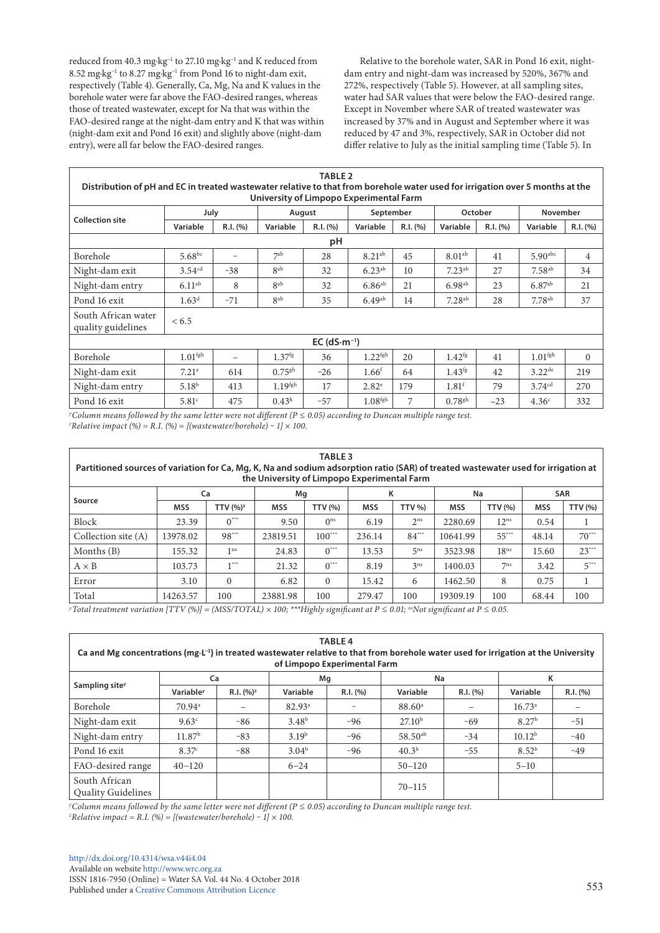reduced from 40.3 mg⋅kg<sup>-1</sup> to 27.10 mg⋅kg<sup>-1</sup> and K reduced from 8.52 mg·kg−1 to 8.27 mg·kg−1 from Pond 16 to night-dam exit, respectively (Table 4). Generally, Ca, Mg, Na and K values in the borehole water were far above the FAO-desired ranges, whereas those of treated wastewater, except for Na that was within the FAO-desired range at the night-dam entry and K that was within (night-dam exit and Pond 16 exit) and slightly above (night-dam entry), were all far below the FAO-desired ranges.

Relative to the borehole water, SAR in Pond 16 exit, nightdam entry and night-dam was increased by 520%, 367% and 272%, respectively (Table 5). However, at all sampling sites, water had SAR values that were below the FAO-desired range. Except in November where SAR of treated wastewater was increased by 37% and in August and September where it was reduced by 47 and 3%, respectively, SAR in October did not differ relative to July as the initial sampling time (Table 5). In

| <b>TABLE 2</b>                                                                                                                                                           |                     |                          |                      |          |                      |          |                      |          |                       |          |  |
|--------------------------------------------------------------------------------------------------------------------------------------------------------------------------|---------------------|--------------------------|----------------------|----------|----------------------|----------|----------------------|----------|-----------------------|----------|--|
| Distribution of pH and EC in treated wastewater relative to that from borehole water used for irrigation over 5 months at the<br>University of Limpopo Experimental Farm |                     |                          |                      |          |                      |          |                      |          |                       |          |  |
|                                                                                                                                                                          | July                |                          | August               |          | September            |          | October              |          | November              |          |  |
| <b>Collection site</b>                                                                                                                                                   | Variable            | R.I. (%)                 | Variable             | R.I. (%) | Variable             | R.I. (%) | Variable             | R.I. (%) | Variable              | R.I. (%) |  |
| рH                                                                                                                                                                       |                     |                          |                      |          |                      |          |                      |          |                       |          |  |
| Borehole                                                                                                                                                                 | $5.68^{bc}$         | $\overline{\phantom{0}}$ | 7 <sup>ab</sup>      | 28       | $8.21^{ab}$          | 45       | 8.01 <sup>ab</sup>   | 41       | $5.90$ <sup>abc</sup> | 4        |  |
| Night-dam exit                                                                                                                                                           | 3.54 <sup>cd</sup>  | $-38$                    | 8 <sup>ab</sup>      | 32       | $6.23^{ab}$          | 10       | $7.23^{ab}$          | 27       | $7.58^{ab}$           | 34       |  |
| Night-dam entry                                                                                                                                                          | $6.11^{ab}$         | 8                        | 8 <sup>ab</sup>      | 32       | $6.86^{ab}$          | 21       | $6.98$ <sup>ab</sup> | 23       | $6.87^{ab}$           | 21       |  |
| Pond 16 exit                                                                                                                                                             | 1.63 <sup>d</sup>   | $-71$                    | 8 <sup>ab</sup>      | 35       | $6.49$ <sup>ab</sup> | 14       | $7.28$ <sup>ab</sup> | 28       | $7.78$ <sup>ab</sup>  | 37       |  |
| South African water<br>quality guidelines                                                                                                                                | < 6.5               |                          |                      |          |                      |          |                      |          |                       |          |  |
| EC $(dS·m-1)$                                                                                                                                                            |                     |                          |                      |          |                      |          |                      |          |                       |          |  |
| Borehole                                                                                                                                                                 | 1.01 <sup>fgh</sup> | $\overline{\phantom{0}}$ | 1.37 <sup>fg</sup>   | 36       | 1.22 <sup>fgh</sup>  | 20       | $1.42^{fg}$          | 41       | 1.01 <sup>fgh</sup>   | $\Omega$ |  |
| Night-dam exit                                                                                                                                                           | 7.21 <sup>a</sup>   | 614                      | $0.75$ <sup>gh</sup> | $-26$    | 1.66 <sup>f</sup>    | 64       | $1.43^{fg}$          | 42       | $3.22^{de}$           | 219      |  |
| Night-dam entry                                                                                                                                                          | 5.18 <sup>b</sup>   | 413                      | $1.19$ fgh           | 17       | $2.82^{\circ}$       | 179      | 1.81 <sup>f</sup>    | 79       | 3.74 <sup>cd</sup>    | 270      |  |
| Pond 16 exit                                                                                                                                                             | 5.81 <sup>c</sup>   | 475                      | $0.43^{\rm h}$       | $-57$    | 1.08 <sup>fgh</sup>  | 7        | $0.78$ <sup>gh</sup> | $-23$    | 4.36 <sup>c</sup>     | 332      |  |

*y Column means followed by the same letter were not different (P ≤ 0.05) according to Duncan multiple range test. z Relative impact (%) = R.I. (%) = [(wastewater/borehole) ‒ 1] × 100.*

| <b>TABLE 3</b><br>Partitioned sources of variation for Ca, Mg, K, Na and sodium adsorption ratio (SAR) of treated wastewater used for irrigation at<br>the University of Limpopo Experimental Farm |            |                             |            |                 |            |                 |            |                  |            |                |
|----------------------------------------------------------------------------------------------------------------------------------------------------------------------------------------------------|------------|-----------------------------|------------|-----------------|------------|-----------------|------------|------------------|------------|----------------|
| Mq<br><b>SAR</b><br>Na<br>Ca<br>κ                                                                                                                                                                  |            |                             |            |                 |            |                 |            |                  |            |                |
| Source                                                                                                                                                                                             | <b>MSS</b> | <b>TTV (%)</b> <sup>y</sup> | <b>MSS</b> | <b>TTV (%)</b>  | <b>MSS</b> | <b>TTV %)</b>   | <b>MSS</b> | <b>TTV (%)</b>   | <b>MSS</b> | <b>TTV (%)</b> |
| Block                                                                                                                                                                                              | 23.39      | $0***$                      | 9.50       | 0 <sup>ns</sup> | 6.19       | 2 <sup>ns</sup> | 2280.69    | $12^{ns}$        | 0.54       | 1              |
| Collection site (A)                                                                                                                                                                                | 13978.02   | $98***$                     | 23819.51   | $100***$        | 236.14     | $84***$         | 10641.99   | $55***$          | 48.14      | $70***$        |
| Months (B)                                                                                                                                                                                         | 155.32     | 1 <sup>ns</sup>             | 24.83      | $0***$          | 13.53      | 5 <sup>ns</sup> | 3523.98    | 18 <sup>ns</sup> | 15.60      | $23***$        |
| $A \times B$                                                                                                                                                                                       | 103.73     | $+ 1 + 1 + 1 + 1 = 1$       | 21.32      | $0***$          | 8.19       | 3 <sup>ns</sup> | 1400.03    | 7 <sub>ns</sub>  | 3.42       | $5***$         |
| Error                                                                                                                                                                                              | 3.10       | $\Omega$                    | 6.82       | $\Omega$        | 15.42      | 6               | 1462.50    | 8                | 0.75       | л.             |
| Total                                                                                                                                                                                              | 14263.57   | 100                         | 23881.98   | 100             | 279.47     | 100             | 19309.19   | 100              | 68.44      | 100            |

*yTotal treatment variation [TTV (%)] = (MSS/TOTAL) × 100; \*\*\*Highly significant at P ≤ 0.01; nsNot significant at P ≤ 0.05.*

| <b>TABLE 4</b><br>Ca and Mg concentrations ( $mg \cdot L^{-1}$ ) in treated wastewater relative to that from borehole water used for irrigation at the University<br>of Limpopo Experimental Farm |                       |              |                   |          |                    |          |                    |          |  |  |  |
|---------------------------------------------------------------------------------------------------------------------------------------------------------------------------------------------------|-----------------------|--------------|-------------------|----------|--------------------|----------|--------------------|----------|--|--|--|
| Mq<br>Na<br>к<br>Ca                                                                                                                                                                               |                       |              |                   |          |                    |          |                    |          |  |  |  |
| Sampling site <sup>y</sup>                                                                                                                                                                        | Variable <sup>y</sup> | $R.I. (%)^z$ | Variable          | R.I. (%) | Variable           | R.I. (%) | Variable           | R.I. (%) |  |  |  |
| Borehole                                                                                                                                                                                          | $70.94$ <sup>a</sup>  |              | $82.93^{\circ}$   |          | 88.60 <sup>a</sup> |          | $16.73^a$          |          |  |  |  |
| Night-dam exit                                                                                                                                                                                    | 9.63 <sup>c</sup>     | $-86$        | 3.48 <sup>b</sup> | $-96$    | 27.10 <sup>b</sup> | $-69$    | 8.27 <sup>b</sup>  | $-51$    |  |  |  |
| Night-dam entry                                                                                                                                                                                   | 11.87 <sup>b</sup>    | $-83$        | 3.19 <sup>b</sup> | $-96$    | $58.50^{ab}$       | $-34$    | 10.12 <sup>b</sup> | $-40$    |  |  |  |
| Pond 16 exit                                                                                                                                                                                      | 8.37c                 | $-88$        | $3.04^{\rm b}$    | $-96$    | 40.3 <sup>b</sup>  | $-55$    | $8.52^{b}$         | $-49$    |  |  |  |
| FAO-desired range                                                                                                                                                                                 | $40 - 120$            |              | $6 - 24$          |          | $50 - 120$         |          | $5 - 10$           |          |  |  |  |
| South African<br><b>Quality Guidelines</b>                                                                                                                                                        |                       |              |                   |          | $70 - 115$         |          |                    |          |  |  |  |

*y Column means followed by the same letter were not different (P ≤ 0.05) according to Duncan multiple range test. z Relative impact = R.I. (%) = [(wastewater/borehole) ‒ 1] × 100.*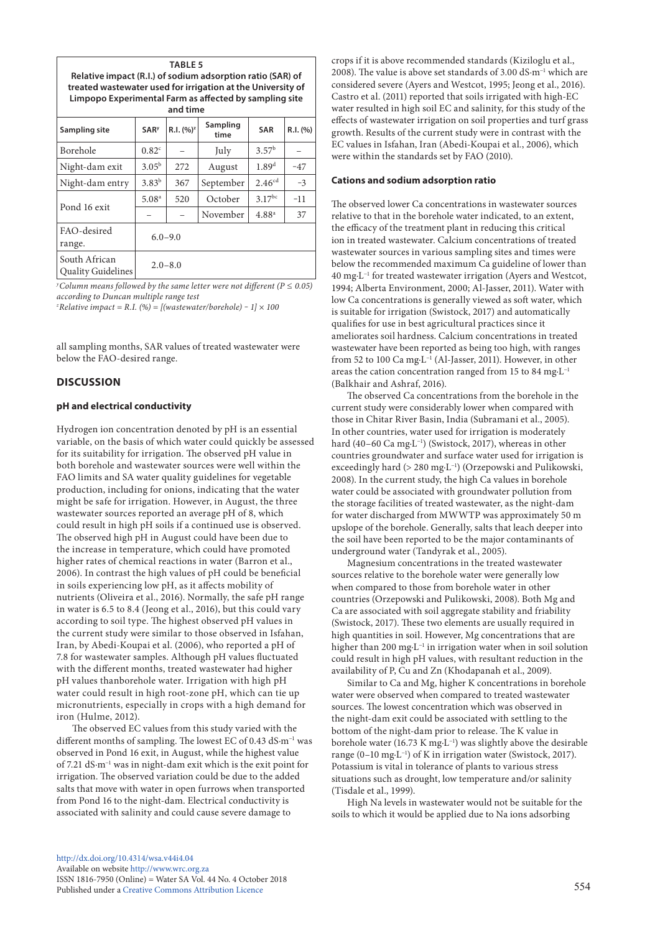| <b>TABLE 5</b><br>Relative impact (R.I.) of sodium adsorption ratio (SAR) of<br>treated wastewater used for irrigation at the University of<br>Limpopo Experimental Farm as affected by sampling site<br>and time |                        |              |                  |                   |          |  |  |  |  |  |
|-------------------------------------------------------------------------------------------------------------------------------------------------------------------------------------------------------------------|------------------------|--------------|------------------|-------------------|----------|--|--|--|--|--|
| Sampling site                                                                                                                                                                                                     | <b>SAR<sup>y</sup></b> | $R.I. (%)^z$ | Sampling<br>time | <b>SAR</b>        | R.I. (%) |  |  |  |  |  |
| Borehole                                                                                                                                                                                                          | 0.82 <sup>c</sup>      |              | July             | 3.57 <sup>b</sup> |          |  |  |  |  |  |
| Night-dam exit                                                                                                                                                                                                    | $3.05^{\rm b}$         | 272          | August           | 1.89 <sup>d</sup> | $-47$    |  |  |  |  |  |
| Night-dam entry                                                                                                                                                                                                   | $3.83^{b}$             | 367          | September        | $2.46^{cd}$       | $-3$     |  |  |  |  |  |
| Pond 16 exit                                                                                                                                                                                                      | 5.08 <sup>a</sup>      | 520          | October          | $3.17^{bc}$       | $-11$    |  |  |  |  |  |
|                                                                                                                                                                                                                   |                        |              | November         | $4.88^{a}$        | 37       |  |  |  |  |  |

South African Quality Guidelines 2.0–8.0

*y Column means followed by the same letter were not different (P ≤ 0.05) according to Duncan multiple range test*

*z Relative impact = R.I. (%) = [(wastewater/borehole) ‒ 1] × 100*

 $6.0 - 9.0$ 

all sampling months, SAR values of treated wastewater were below the FAO-desired range.

## **DISCUSSION**

FAO-desired range.

#### **pH and electrical conductivity**

Hydrogen ion concentration denoted by pH is an essential variable, on the basis of which water could quickly be assessed for its suitability for irrigation. The observed pH value in both borehole and wastewater sources were well within the FAO limits and SA water quality guidelines for vegetable production, including for onions, indicating that the water might be safe for irrigation. However, in August, the three wastewater sources reported an average pH of 8, which could result in high pH soils if a continued use is observed. The observed high pH in August could have been due to the increase in temperature, which could have promoted higher rates of chemical reactions in water (Barron et al., 2006). In contrast the high values of pH could be beneficial in soils experiencing low pH, as it affects mobility of nutrients (Oliveira et al., 2016). Normally, the safe pH range in water is 6.5 to 8.4 (Jeong et al., 2016), but this could vary according to soil type. The highest observed pH values in the current study were similar to those observed in Isfahan, Iran, by Abedi-Koupai et al. (2006), who reported a pH of 7.8 for wastewater samples. Although pH values fluctuated with the different months, treated wastewater had higher pH values thanborehole water. Irrigation with high pH water could result in high root-zone pH, which can tie up micronutrients, especially in crops with a high demand for iron (Hulme, 2012).

The observed EC values from this study varied with the different months of sampling. The lowest EC of 0.43 dS·m−1 was observed in Pond 16 exit, in August, while the highest value of 7.21 dS·m−1 was in night-dam exit which is the exit point for irrigation. The observed variation could be due to the added salts that move with water in open furrows when transported from Pond 16 to the night-dam. Electrical conductivity is associated with salinity and could cause severe damage to

crops if it is above recommended standards (Kiziloglu et al., 2008). The value is above set standards of 3.00 dS·m−1 which are considered severe (Ayers and Westcot, 1995; Jeong et al., 2016). Castro et al. (2011) reported that soils irrigated with high-EC water resulted in high soil EC and salinity, for this study of the effects of wastewater irrigation on soil properties and turf grass growth. Results of the current study were in contrast with the EC values in Isfahan, Iran (Abedi-Koupai et al*.*, 2006), which were within the standards set by FAO (2010).

## **Cations and sodium adsorption ratio**

The observed lower Ca concentrations in wastewater sources relative to that in the borehole water indicated, to an extent, the efficacy of the treatment plant in reducing this critical ion in treated wastewater. Calcium concentrations of treated wastewater sources in various sampling sites and times were below the recommended maximum Ca guideline of lower than 40 mg·L−1 for treated wastewater irrigation (Ayers and Westcot, 1994; Alberta Environment, 2000; Al-Jasser, 2011). Water with low Ca concentrations is generally viewed as soft water, which is suitable for irrigation (Swistock, 2017) and automatically qualifies for use in best agricultural practices since it ameliorates soil hardness. Calcium concentrations in treated wastewater have been reported as being too high, with ranges from 52 to 100 Ca mg·L−1 (Al-Jasser, 2011). However, in other areas the cation concentration ranged from 15 to 84 mg·L−1 (Balkhair and Ashraf, 2016).

The observed Ca concentrations from the borehole in the current study were considerably lower when compared with those in Chitar River Basin, India (Subramani et al., 2005). In other countries, water used for irrigation is moderately hard (40–60 Ca mg·L−1) (Swistock, 2017), whereas in other countries groundwater and surface water used for irrigation is exceedingly hard (> 280 mg·L−1) (Orzepowski and Pulikowski, 2008). In the current study, the high Ca values in borehole water could be associated with groundwater pollution from the storage facilities of treated wastewater, as the night-dam for water discharged from MWWTP was approximately 50 m upslope of the borehole. Generally, salts that leach deeper into the soil have been reported to be the major contaminants of underground water (Tandyrak et al., 2005).

Magnesium concentrations in the treated wastewater sources relative to the borehole water were generally low when compared to those from borehole water in other countries (Orzepowski and Pulikowski, 2008). Both Mg and Ca are associated with soil aggregate stability and friability (Swistock, 2017). These two elements are usually required in high quantities in soil. However, Mg concentrations that are higher than 200 mg·L−1 in irrigation water when in soil solution could result in high pH values, with resultant reduction in the availability of P, Cu and Zn (Khodapanah et al., 2009).

Similar to Ca and Mg, higher K concentrations in borehole water were observed when compared to treated wastewater sources. The lowest concentration which was observed in the night-dam exit could be associated with settling to the bottom of the night-dam prior to release. The K value in borehole water (16.73 K mg·L−1) was slightly above the desirable range (0–10 mg·L−1) of K in irrigation water (Swistock, 2017). Potassium is vital in tolerance of plants to various stress situations such as drought, low temperature and/or salinity (Tisdale et al., 1999).

High Na levels in wastewater would not be suitable for the soils to which it would be applied due to Na ions adsorbing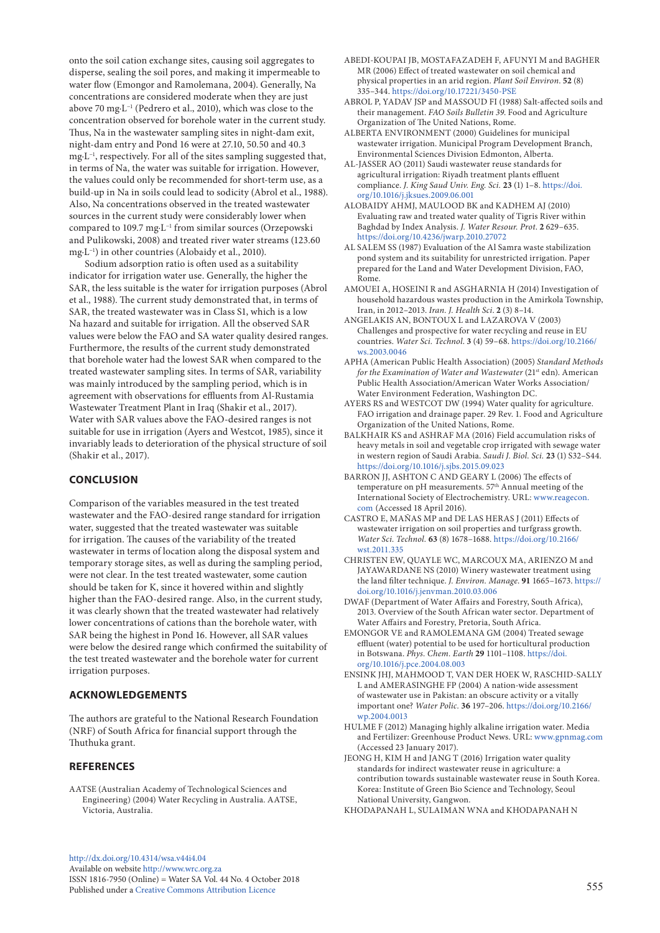onto the soil cation exchange sites, causing soil aggregates to disperse, sealing the soil pores, and making it impermeable to water flow (Emongor and Ramolemana, 2004). Generally, Na concentrations are considered moderate when they are just above 70 mg·L−1 (Pedrero et al., 2010), which was close to the concentration observed for borehole water in the current study. Thus, Na in the wastewater sampling sites in night-dam exit, night-dam entry and Pond 16 were at 27.10, 50.50 and 40.3 mg·L−1, respectively. For all of the sites sampling suggested that, in terms of Na, the water was suitable for irrigation. However, the values could only be recommended for short-term use, as a build-up in Na in soils could lead to sodicity (Abrol et al., 1988). Also, Na concentrations observed in the treated wastewater sources in the current study were considerably lower when compared to 109.7 mg·L−1 from similar sources (Orzepowski and Pulikowski, 2008) and treated river water streams (123.60 mg·L−1) in other countries (Alobaidy et al., 2010).

Sodium adsorption ratio is often used as a suitability indicator for irrigation water use. Generally, the higher the SAR, the less suitable is the water for irrigation purposes (Abrol et al., 1988). The current study demonstrated that, in terms of SAR, the treated wastewater was in Class S1, which is a low Na hazard and suitable for irrigation. All the observed SAR values were below the FAO and SA water quality desired ranges. Furthermore, the results of the current study demonstrated that borehole water had the lowest SAR when compared to the treated wastewater sampling sites. In terms of SAR, variability was mainly introduced by the sampling period, which is in agreement with observations for effluents from Al-Rustamia Wastewater Treatment Plant in Iraq (Shakir et al., 2017). Water with SAR values above the FAO-desired ranges is not suitable for use in irrigation (Ayers and Westcot, 1985), since it invariably leads to deterioration of the physical structure of soil (Shakir et al., 2017).

# **CONCLUSION**

Comparison of the variables measured in the test treated wastewater and the FAO-desired range standard for irrigation water, suggested that the treated wastewater was suitable for irrigation. The causes of the variability of the treated wastewater in terms of location along the disposal system and temporary storage sites, as well as during the sampling period, were not clear. In the test treated wastewater, some caution should be taken for K, since it hovered within and slightly higher than the FAO-desired range. Also, in the current study, it was clearly shown that the treated wastewater had relatively lower concentrations of cations than the borehole water, with SAR being the highest in Pond 16. However, all SAR values were below the desired range which confirmed the suitability of the test treated wastewater and the borehole water for current irrigation purposes.

# **ACKNOWLEDGEMENTS**

The authors are grateful to the National Research Foundation (NRF) of South Africa for financial support through the Thuthuka grant.

# **REFERENCES**

AATSE (Australian Academy of Technological Sciences and Engineering) (2004) Water Recycling in Australia. AATSE, Victoria, Australia.

- ABEDI-KOUPAI JB, MOSTAFAZADEH F, AFUNYI M and BAGHER MR (2006) Effect of treated wastewater on soil chemical and physical properties in an arid region. *Plant Soil Environ*. **52** (8) 335–344. <https://doi.org/10.17221/3450-PSE> ABROL P, YADAV JSP and MASSOUD FI (1988) Salt-affected soils and
	- their management. *FAO Soils Bulletin 39*. Food and Agriculture Organization of The United Nations, Rome.
	- ALBERTA ENVIRONMENT (2000) Guidelines for municipal wastewater irrigation. Municipal Program Development Branch, Environmental Sciences Division Edmonton, Alberta.
	- AL-JASSER AO (2011) Saudi wastewater reuse standards for agricultural irrigation: Riyadh treatment plants effluent compliance. *J. King Saud Univ. Eng. Sci.* **23** (1) 1–8. [https://doi.](https://doi.org/10.1016/j.jksues.2009.06.001) [org/10.1016/j.jksues.2009.06.001](https://doi.org/10.1016/j.jksues.2009.06.001)
	- ALOBAIDY AHMJ, MAULOOD BK and KADHEM AJ (2010) Evaluating raw and treated water quality of Tigris River within Baghdad by Index Analysis. *J. Water Resour. Prot*. **2** 629–635. <https://doi.org/10.4236/jwarp.2010.27072>
	- AL SALEM SS (1987) Evaluation of the Al Samra waste stabilization pond system and its suitability for unrestricted irrigation. Paper prepared for the Land and Water Development Division, FAO, Rome.
	- AMOUEI A, HOSEINI R and ASGHARNIA H (2014) Investigation of household hazardous wastes production in the Amirkola Township, Iran, in 2012–2013. *Iran. J. Health Sci*. **2** (3) 8–14.
	- ANGELAKIS AN, BONTOUX L and LAZAROVA V (2003) Challenges and prospective for water recycling and reuse in EU countries. *Water Sci. Technol*. **3** (4) 59–68. [https://doi.org/10.2166/](https://doi.org/10.2166/ws.2003.0046) [ws.2003.0046](https://doi.org/10.2166/ws.2003.0046)
	- APHA (American Public Health Association) (2005) *Standard Methods for the Examination of Water and Wastewater (21<sup>st</sup> edn). American* Public Health Association/American Water Works Association/ Water Environment Federation, Washington DC.
	- AYERS RS and WESTCOT DW (1994) Water quality for agriculture. FAO irrigation and drainage paper. 29 Rev. 1. Food and Agriculture Organization of the United Nations, Rome.
	- BALKHAIR KS and ASHRAF MA (2016) Field accumulation risks of heavy metals in soil and vegetable crop irrigated with sewage water in western region of Saudi Arabia. *Saudi J. Biol. Sci.* **23** (1) S32–S44. <https://doi.org/10.1016/j.sjbs.2015.09.023>
	- BARRON JJ, ASHTON C AND GEARY L (2006) The effects of temperature on pH measurements. 57th Annual meeting of the International Society of Electrochemistry. URL: [www.reagecon.](http://www.reagecon.com) [com](http://www.reagecon.com) (Accessed 18 April 2016).
	- CASTRO E, MAÑAS MP and DE LAS HERAS J (2011) Effects of wastewater irrigation on soil properties and turfgrass growth. *Water Sci. Technol.* **63** (8) 1678–1688. [https://doi.org/10.2166/](https://doi.org/10.2166/wst.2011.335) [wst.2011.335](https://doi.org/10.2166/wst.2011.335)
	- CHRISTEN EW, QUAYLE WC, MARCOUX MA, ARIENZO M and JAYAWARDANE NS (2010) Winery wastewater treatment using the land filter technique. *J. Environ. Manage*. **91** 1665–1673. [https://](https://doi.org/10.1016/j.jenvman.2010.03.006) [doi.org/10.1016/j.jenvman.2010.03.006](https://doi.org/10.1016/j.jenvman.2010.03.006)
	- DWAF (Department of Water Affairs and Forestry, South Africa), 2013. Overview of the South African water sector. Department of Water Affairs and Forestry, Pretoria, South Africa.
	- EMONGOR VE and RAMOLEMANA GM (2004) Treated sewage effluent (water) potential to be used for horticultural production in Botswana. *Phys. Chem. Earth* **29** 1101–1108. [https://doi.](https://doi.org/10.1016/j.pce.2004.08.003) [org/10.1016/j.pce.2004.08.003](https://doi.org/10.1016/j.pce.2004.08.003)
	- ENSINK JHJ, MAHMOOD T, VAN DER HOEK W, RASCHID-SALLY L and AMERASINGHE FP (2004) A nation-wide assessment of wastewater use in Pakistan: an obscure activity or a vitally important one? *Water Polic.* **36** 197–206. [https://doi.org/10.2166/](https://doi.org/10.2166/wp.2004.0013) [wp.2004.0013](https://doi.org/10.2166/wp.2004.0013)
	- HULME F (2012) Managing highly alkaline irrigation water. Media and Fertilizer: Greenhouse Product News. URL: [www.gpnmag.com](http://www.gpnmag.com) (Accessed 23 January 2017).
	- JEONG H, KIM H and JANG T (2016) Irrigation water quality standards for indirect wastewater reuse in agriculture: a contribution towards sustainable wastewater reuse in South Korea. Korea: Institute of Green Bio Science and Technology, Seoul National University, Gangwon.
	- KHODAPANAH L, SULAIMAN WNA and KHODAPANAH N

[http://dx.doi.org/10.4314/wsa.v44i4.](http://dx.doi.org/10.4314/wsa.v44i4.04)04 Available on website<http://www.wrc.org.za> ISSN 1816-7950 (Online) = Water SA Vol. 44 No. 4 October 2018 Published under a [Creative Commons Attribution Licence](https://creativecommons.org/licenses/by/4.0/) 555